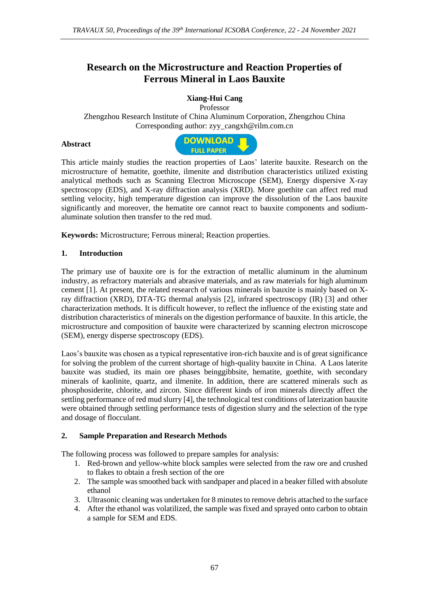# **Research on the Microstructure and Reaction Properties of Ferrous Mineral in Laos Bauxite**

## **Xiang-Hui Cang**

Professor Zhengzhou Research Institute of China Aluminum Corporation, Zhengzhou China Corresponding author: [zyy\\_cangxh@rilm.com.cn](mailto:zyy_cangxh@rilm.com.cn)

#### **Abstract**



This article mainly studies the reaction properties of Laos' laterite bauxite. Research on the microstructure of hematite, goethite, ilmenite and distribution characteristics utilized existing analytical methods such as Scanning Electron Microscope (SEM), Energy dispersive X-ray spectroscopy (EDS), and X-ray diffraction analysis (XRD). More goethite can affect red mud settling velocity, high temperature digestion can improve the dissolution of the Laos bauxite significantly and moreover, the hematite ore cannot react to bauxite components and sodiumaluminate solution then transfer to the red mud.

**Keywords:** Microstructure; Ferrous mineral; Reaction properties.

### **1. Introduction**

The primary use of bauxite ore is for the extraction of metallic aluminum in the aluminum industry, as refractory materials and abrasive materials, and as raw materials for high aluminum cement [1]. At present, the related research of various minerals in bauxite is mainly based on Xray diffraction (XRD), DTA-TG thermal analysis [2], infrared spectroscopy (IR) [3] and other characterization methods. It is difficult however, to reflect the influence of the existing state and distribution characteristics of minerals on the digestion performance of bauxite. In this article, the microstructure and composition of bauxite were characterized by scanning electron microscope (SEM), energy disperse spectroscopy (EDS).

Laos's bauxite was chosen as a typical representative iron-rich bauxite and is of great significance for solving the problem of the current shortage of high-quality bauxite in China. A Laos laterite bauxite was studied, its main ore phases beinggibbsite, hematite, goethite, with secondary minerals of kaolinite, quartz, and ilmenite. In addition, there are scattered minerals such as phosphosiderite, chlorite, and zircon. Since different kinds of iron minerals directly affect the settling performance of red mud slurry [4], the technological test conditions of laterization bauxite were obtained through settling performance tests of digestion slurry and the selection of the type and dosage of flocculant.

### **2. Sample Preparation and Research Methods**

The following process was followed to prepare samples for analysis:

- 1. Red-brown and yellow-white block samples were selected from the raw ore and crushed to flakes to obtain a fresh section of the ore
- 2. The sample was smoothed back with sandpaper and placed in a beaker filled with absolute ethanol
- 3. Ultrasonic cleaning was undertaken for 8 minutes to remove debris attached to the surface
- 4. After the ethanol was volatilized, the sample was fixed and sprayed onto carbon to obtain a sample for SEM and EDS.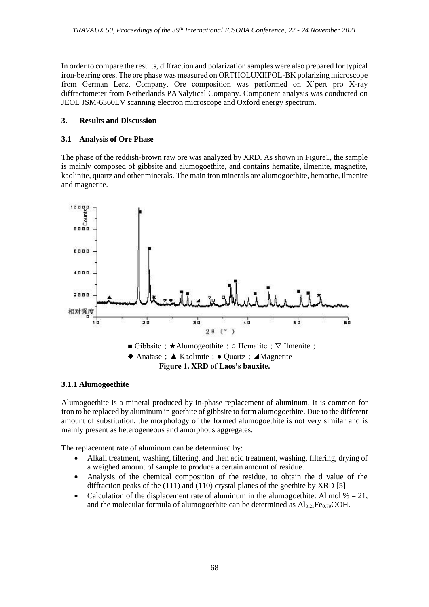In order to compare the results, diffraction and polarization samples were also prepared for typical iron-bearing ores. The ore phase was measured on ORTHOLUXⅡPOL-BK polarizing microscope from German Lerzt Company. Ore composition was performed on X'pert pro X-ray diffractometer from Netherlands PANalytical Company. Component analysis was conducted on JEOL JSM-6360LV scanning electron microscope and Oxford energy spectrum.

## **3. Results and Discussion**

### **3.1 Analysis of Ore Phase**

The phase of the reddish-brown raw ore was analyzed by XRD. As shown in Figure1, the sample is mainly composed of gibbsite and alumogoethite, and contains hematite, ilmenite, magnetite, kaolinite, quartz and other minerals. The main iron minerals are alumogoethite, hematite, ilmenite and magnetite.



### **3.1.1 Alumogoethite**

Alumogoethite is a mineral produced by in-phase replacement of aluminum. It is common for iron to be replaced by aluminum in goethite of gibbsite to form alumogoethite. Due to the different amount of substitution, the morphology of the formed alumogoethite is not very similar and is mainly present as heterogeneous and amorphous aggregates.

The replacement rate of aluminum can be determined by:

- Alkali treatment, washing, filtering, and then acid treatment, washing, filtering, drying of a weighed amount of sample to produce a certain amount of residue.
- Analysis of the chemical composition of the residue, to obtain the d value of the diffraction peaks of the (111) and (110) crystal planes of the goethite by XRD [5]
- Calculation of the displacement rate of aluminum in the alumogoethite: Al mol  $% = 21$ , and the molecular formula of alumogoethite can be determined as  $Al_{0.21}Fe_{0.79}OOH$ .